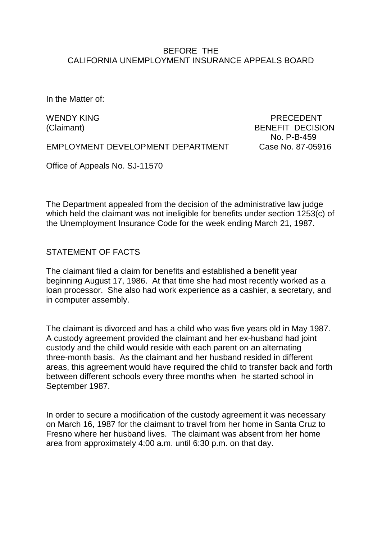### BEFORE THE CALIFORNIA UNEMPLOYMENT INSURANCE APPEALS BOARD

In the Matter of:

WENDY KING THE RECEDENT REPORT OF THE PRECEDENT (Claimant) BENEFIT DECISION No. P-B-459

EMPLOYMENT DEVELOPMENT DEPARTMENT Case No. 87-05916

Office of Appeals No. SJ-11570

The Department appealed from the decision of the administrative law judge which held the claimant was not ineligible for benefits under section 1253(c) of the Unemployment Insurance Code for the week ending March 21, 1987.

### STATEMENT OF FACTS

The claimant filed a claim for benefits and established a benefit year beginning August 17, 1986. At that time she had most recently worked as a loan processor. She also had work experience as a cashier, a secretary, and in computer assembly.

The claimant is divorced and has a child who was five years old in May 1987. A custody agreement provided the claimant and her ex-husband had joint custody and the child would reside with each parent on an alternating three-month basis. As the claimant and her husband resided in different areas, this agreement would have required the child to transfer back and forth between different schools every three months when he started school in September 1987.

In order to secure a modification of the custody agreement it was necessary on March 16, 1987 for the claimant to travel from her home in Santa Cruz to Fresno where her husband lives. The claimant was absent from her home area from approximately 4:00 a.m. until 6:30 p.m. on that day.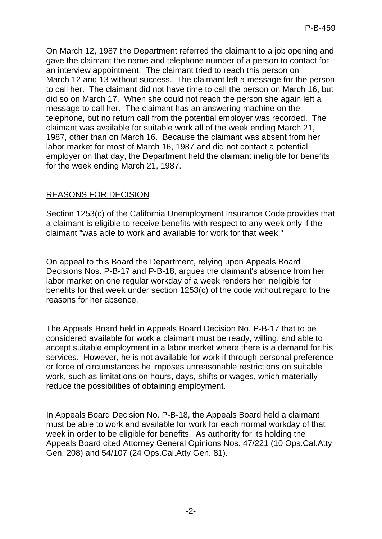On March 12, 1987 the Department referred the claimant to a job opening and gave the claimant the name and telephone number of a person to contact for an interview appointment. The claimant tried to reach this person on March 12 and 13 without success. The claimant left a message for the person to call her. The claimant did not have time to call the person on March 16, but did so on March 17. When she could not reach the person she again left a message to call her. The claimant has an answering machine on the telephone, but no return call from the potential employer was recorded. The claimant was available for suitable work all of the week ending March 21, 1987, other than on March 16. Because the claimant was absent from her labor market for most of March 16, 1987 and did not contact a potential employer on that day, the Department held the claimant ineligible for benefits for the week ending March 21, 1987.

# REASONS FOR DECISION

Section 1253(c) of the California Unemployment Insurance Code provides that a claimant is eligible to receive benefits with respect to any week only if the claimant "was able to work and available for work for that week."

On appeal to this Board the Department, relying upon Appeals Board Decisions Nos. P-B-17 and P-B-18, argues the claimant's absence from her labor market on one regular workday of a week renders her ineligible for benefits for that week under section 1253(c) of the code without regard to the reasons for her absence.

The Appeals Board held in Appeals Board Decision No. P-B-17 that to be considered available for work a claimant must be ready, willing, and able to accept suitable employment in a labor market where there is a demand for his services. However, he is not available for work if through personal preference or force of circumstances he imposes unreasonable restrictions on suitable work, such as limitations on hours, days, shifts or wages, which materially reduce the possibilities of obtaining employment.

In Appeals Board Decision No. P-B-18, the Appeals Board held a claimant must be able to work and available for work for each normal workday of that week in order to be eligible for benefits. As authority for its holding the Appeals Board cited Attorney General Opinions Nos. 47/221 (10 Ops.Cal.Atty Gen. 208) and 54/107 (24 Ops.Cal.Atty Gen. 81).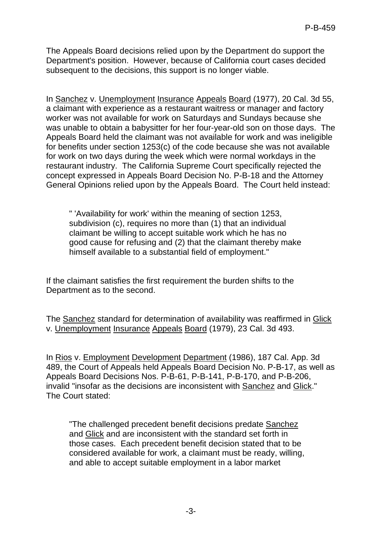The Appeals Board decisions relied upon by the Department do support the Department's position. However, because of California court cases decided subsequent to the decisions, this support is no longer viable.

In Sanchez v. Unemployment Insurance Appeals Board (1977), 20 Cal. 3d 55, a claimant with experience as a restaurant waitress or manager and factory worker was not available for work on Saturdays and Sundays because she was unable to obtain a babysitter for her four-year-old son on those days. The Appeals Board held the claimant was not available for work and was ineligible for benefits under section 1253(c) of the code because she was not available for work on two days during the week which were normal workdays in the restaurant industry. The California Supreme Court specifically rejected the concept expressed in Appeals Board Decision No. P-B-18 and the Attorney General Opinions relied upon by the Appeals Board. The Court held instead:

" 'Availability for work' within the meaning of section 1253, subdivision (c), requires no more than (1) that an individual claimant be willing to accept suitable work which he has no good cause for refusing and (2) that the claimant thereby make himself available to a substantial field of employment."

If the claimant satisfies the first requirement the burden shifts to the Department as to the second.

The Sanchez standard for determination of availability was reaffirmed in Glick v. Unemployment Insurance Appeals Board (1979), 23 Cal. 3d 493.

In Rios v. Employment Development Department (1986), 187 Cal. App. 3d 489, the Court of Appeals held Appeals Board Decision No. P-B-17, as well as Appeals Board Decisions Nos. P-B-61, P-B-141, P-B-170, and P-B-206, invalid "insofar as the decisions are inconsistent with Sanchez and Glick." The Court stated:

"The challenged precedent benefit decisions predate Sanchez and Glick and are inconsistent with the standard set forth in those cases. Each precedent benefit decision stated that to be considered available for work, a claimant must be ready, willing, and able to accept suitable employment in a labor market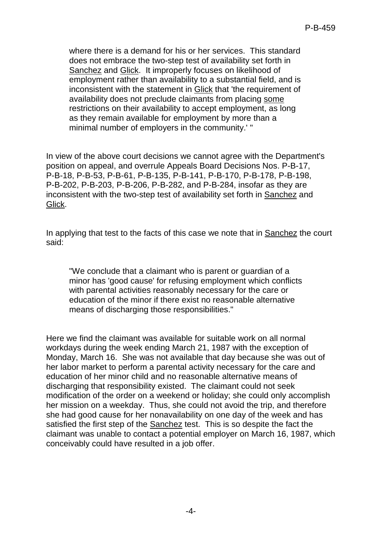where there is a demand for his or her services. This standard does not embrace the two-step test of availability set forth in Sanchez and Glick. It improperly focuses on likelihood of employment rather than availability to a substantial field, and is inconsistent with the statement in Glick that 'the requirement of availability does not preclude claimants from placing some restrictions on their availability to accept employment, as long as they remain available for employment by more than a minimal number of employers in the community.' "

In view of the above court decisions we cannot agree with the Department's position on appeal, and overrule Appeals Board Decisions Nos. P-B-17, P-B-18, P-B-53, P-B-61, P-B-135, P-B-141, P-B-170, P-B-178, P-B-198, P-B-202, P-B-203, P-B-206, P-B-282, and P-B-284, insofar as they are inconsistent with the two-step test of availability set forth in Sanchez and Glick.

In applying that test to the facts of this case we note that in Sanchez the court said:

"We conclude that a claimant who is parent or guardian of a minor has 'good cause' for refusing employment which conflicts with parental activities reasonably necessary for the care or education of the minor if there exist no reasonable alternative means of discharging those responsibilities."

Here we find the claimant was available for suitable work on all normal workdays during the week ending March 21, 1987 with the exception of Monday, March 16. She was not available that day because she was out of her labor market to perform a parental activity necessary for the care and education of her minor child and no reasonable alternative means of discharging that responsibility existed. The claimant could not seek modification of the order on a weekend or holiday; she could only accomplish her mission on a weekday. Thus, she could not avoid the trip, and therefore she had good cause for her nonavailability on one day of the week and has satisfied the first step of the Sanchez test. This is so despite the fact the claimant was unable to contact a potential employer on March 16, 1987, which conceivably could have resulted in a job offer.